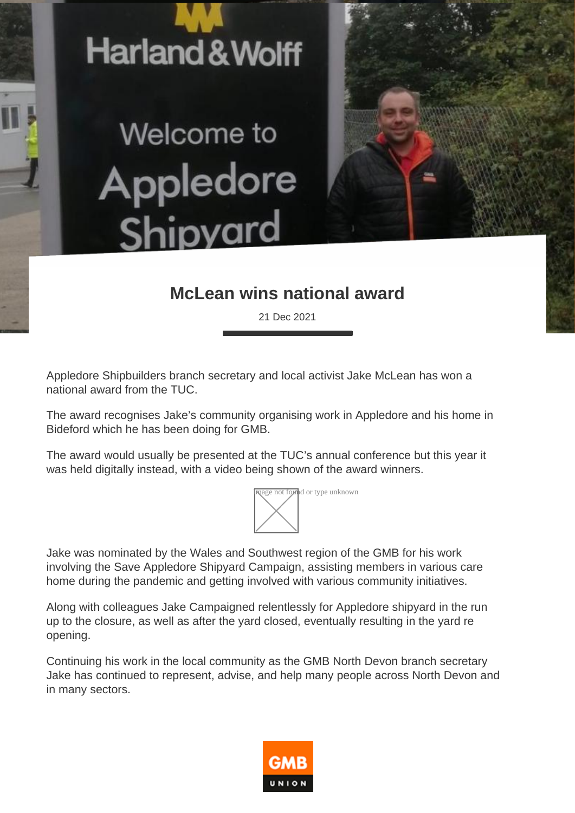

Welcome to Appledore Shipyard

## **McLean wins national award**

21 Dec 2021

Appledore Shipbuilders branch secretary and local activist Jake McLean has won a national award from the TUC.

The award recognises Jake's community organising work in Appledore and his home in Bideford which he has been doing for GMB.

The award would usually be presented at the TUC's annual conference but this year it was held digitally instead, with a video being shown of the award winners.



Jake was nominated by the Wales and Southwest region of the GMB for his work involving the Save Appledore Shipyard Campaign, assisting members in various care home during the pandemic and getting involved with various community initiatives.

Along with colleagues Jake Campaigned relentlessly for Appledore shipyard in the run up to the closure, as well as after the yard closed, eventually resulting in the yard re opening.

Continuing his work in the local community as the GMB North Devon branch secretary Jake has continued to represent, advise, and help many people across North Devon and in many sectors.